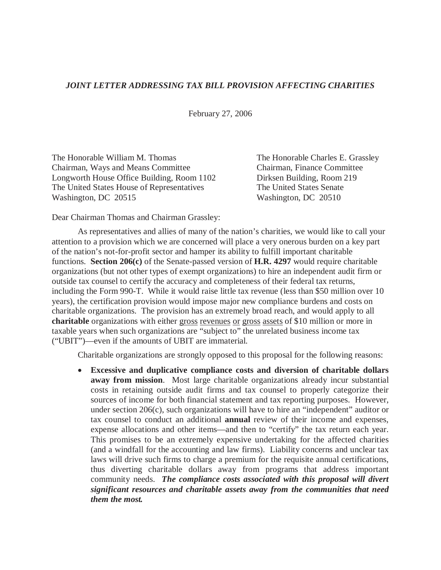## *JOINT LETTER ADDRESSING TAX BILL PROVISION AFFECTING CHARITIES*

February 27, 2006

The Honorable William M. Thomas Chairman, Ways and Means Committee Longworth House Office Building, Room 1102 The United States House of Representatives Washington, DC 20515

The Honorable Charles E. Grassley Chairman, Finance Committee Dirksen Building, Room 219 The United States Senate Washington, DC 20510

Dear Chairman Thomas and Chairman Grassley:

As representatives and allies of many of the nation's charities, we would like to call your attention to a provision which we are concerned will place a very onerous burden on a key part of the nation's not-for-profit sector and hamper its ability to fulfill important charitable functions. **Section 206(c)** of the Senate-passed version of **H.R. 4297** would require charitable organizations (but not other types of exempt organizations) to hire an independent audit firm or outside tax counsel to certify the accuracy and completeness of their federal tax returns, including the Form 990-T. While it would raise little tax revenue (less than \$50 million over 10 years), the certification provision would impose major new compliance burdens and costs on charitable organizations. The provision has an extremely broad reach, and would apply to all **charitable** organizations with either gross revenues or gross assets of \$10 million or more in taxable years when such organizations are "subject to" the unrelated business income tax ("UBIT")—even if the amounts of UBIT are immaterial.

Charitable organizations are strongly opposed to this proposal for the following reasons:

• **Excessive and duplicative compliance costs and diversion of charitable dollars away from mission**. Most large charitable organizations already incur substantial costs in retaining outside audit firms and tax counsel to properly categorize their sources of income for both financial statement and tax reporting purposes. However, under section 206(c), such organizations will have to hire an "independent" auditor or tax counsel to conduct an additional **annual** review of their income and expenses, expense allocations and other items—and then to "certify" the tax return each year. This promises to be an extremely expensive undertaking for the affected charities (and a windfall for the accounting and law firms). Liability concerns and unclear tax laws will drive such firms to charge a premium for the requisite annual certifications, thus diverting charitable dollars away from programs that address important community needs. *The compliance costs associated with this proposal will divert significant resources and charitable assets away from the communities that need them the most.*